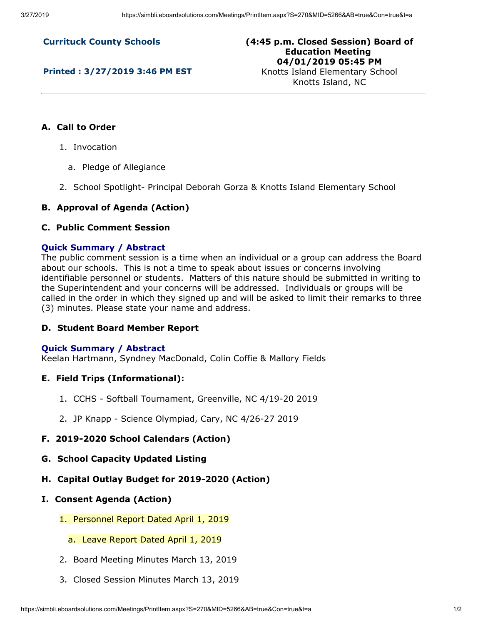**Currituck County Schools**

**Printed : 3/27/2019 3:46 PM EST**

**(4:45 p.m. Closed Session) Board of Education Meeting 04/01/2019 05:45 PM** Knotts Island Elementary School

Knotts Island, NC

## **A. Call to Order**

- 1. Invocation
	- a. Pledge of Allegiance
- 2. School Spotlight- Principal Deborah Gorza & Knotts Island Elementary School

## **B. Approval of Agenda (Action)**

## **C. Public Comment Session**

#### **Quick Summary / Abstract**

The public comment session is a time when an individual or a group can address the Board about our schools. This is not a time to speak about issues or concerns involving identifiable personnel or students. Matters of this nature should be submitted in writing to the Superintendent and your concerns will be addressed. Individuals or groups will be called in the order in which they signed up and will be asked to limit their remarks to three (3) minutes. Please state your name and address.

## **D. Student Board Member Report**

#### **Quick Summary / Abstract**

Keelan Hartmann, Syndney MacDonald, Colin Coffie & Mallory Fields

#### **E. Field Trips (Informational):**

- 1. CCHS Softball Tournament, Greenville, NC 4/19-20 2019
- 2. JP Knapp Science Olympiad, Cary, NC 4/26-27 2019

## **F. 2019-2020 School Calendars (Action)**

- **G. School Capacity Updated Listing**
- **H. Capital Outlay Budget for 2019-2020 (Action)**
- **I. Consent Agenda (Action)**
	- 1. Personnel Report Dated April 1, 2019
		- a. Leave Report Dated April 1, 2019
	- 2. Board Meeting Minutes March 13, 2019
	- 3. Closed Session Minutes March 13, 2019